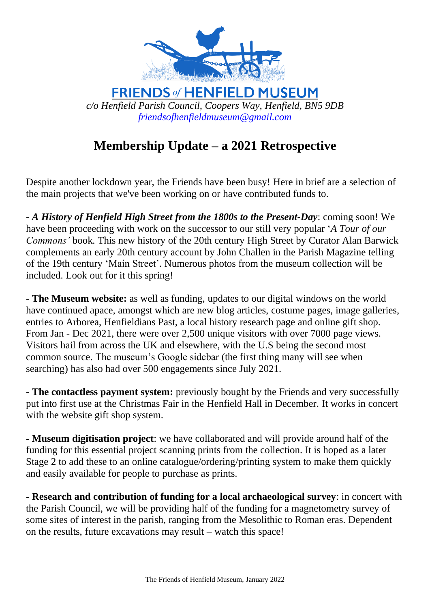

**FRIENDS of HENFIELD MUSEUM** *c/o Henfield Parish Council, Coopers Way, Henfield, BN5 9DB [friendsofhenfieldmuseum@gmail.com](mailto:friendsofhenfieldmuseum@gmail.com)*

## **Membership Update – a 2021 Retrospective**

Despite another lockdown year, the Friends have been busy! Here in brief are a selection of the main projects that we've been working on or have contributed funds to.

- *A History of Henfield High Street from the 1800s to the Present-Day*: coming soon! We have been proceeding with work on the successor to our still very popular '*A Tour of our Commons'* book. This new history of the 20th century High Street by Curator Alan Barwick complements an early 20th century account by John Challen in the Parish Magazine telling of the 19th century 'Main Street'. Numerous photos from the museum collection will be included. Look out for it this spring!

- **The Museum website:** as well as funding, updates to our digital windows on the world have continued apace, amongst which are new blog articles, costume pages, image galleries, entries to Arborea, Henfieldians Past, a local history research page and online gift shop. From Jan - Dec 2021, there were over 2,500 unique visitors with over 7000 page views. Visitors hail from across the UK and elsewhere, with the U.S being the second most common source. The museum's Google sidebar (the first thing many will see when searching) has also had over 500 engagements since July 2021.

- **The contactless payment system:** previously bought by the Friends and very successfully put into first use at the Christmas Fair in the Henfield Hall in December. It works in concert with the website gift shop system.

- **Museum digitisation project**: we have collaborated and will provide around half of the funding for this essential project scanning prints from the collection. It is hoped as a later Stage 2 to add these to an online catalogue/ordering/printing system to make them quickly and easily available for people to purchase as prints.

- **Research and contribution of funding for a local archaeological survey**: in concert with the Parish Council, we will be providing half of the funding for a magnetometry survey of some sites of interest in the parish, ranging from the Mesolithic to Roman eras. Dependent on the results, future excavations may result – watch this space!